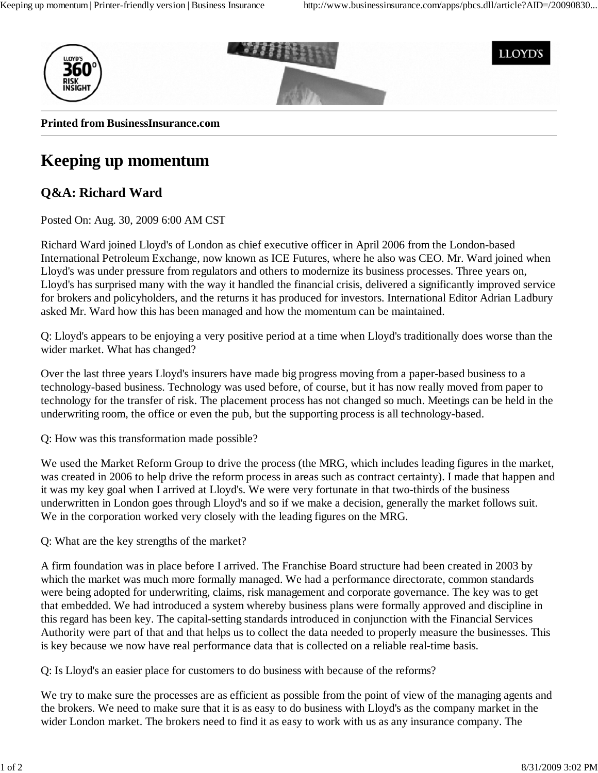

## **Keeping up momentum**

## **Q&A: Richard Ward**

Posted On: Aug. 30, 2009 6:00 AM CST

Richard Ward joined Lloyd's of London as chief executive officer in April 2006 from the London-based International Petroleum Exchange, now known as ICE Futures, where he also was CEO. Mr. Ward joined when Lloyd's was under pressure from regulators and others to modernize its business processes. Three years on, Lloyd's has surprised many with the way it handled the financial crisis, delivered a significantly improved service for brokers and policyholders, and the returns it has produced for investors. International Editor Adrian Ladbury asked Mr. Ward how this has been managed and how the momentum can be maintained.

Q: Lloyd's appears to be enjoying a very positive period at a time when Lloyd's traditionally does worse than the wider market. What has changed?

Over the last three years Lloyd's insurers have made big progress moving from a paper-based business to a technology-based business. Technology was used before, of course, but it has now really moved from paper to technology for the transfer of risk. The placement process has not changed so much. Meetings can be held in the underwriting room, the office or even the pub, but the supporting process is all technology-based.

Q: How was this transformation made possible?

We used the Market Reform Group to drive the process (the MRG, which includes leading figures in the market, was created in 2006 to help drive the reform process in areas such as contract certainty). I made that happen and it was my key goal when I arrived at Lloyd's. We were very fortunate in that two-thirds of the business underwritten in London goes through Lloyd's and so if we make a decision, generally the market follows suit. We in the corporation worked very closely with the leading figures on the MRG.

Q: What are the key strengths of the market?

A firm foundation was in place before I arrived. The Franchise Board structure had been created in 2003 by which the market was much more formally managed. We had a performance directorate, common standards were being adopted for underwriting, claims, risk management and corporate governance. The key was to get that embedded. We had introduced a system whereby business plans were formally approved and discipline in this regard has been key. The capital-setting standards introduced in conjunction with the Financial Services Authority were part of that and that helps us to collect the data needed to properly measure the businesses. This is key because we now have real performance data that is collected on a reliable real-time basis.

Q: Is Lloyd's an easier place for customers to do business with because of the reforms?

We try to make sure the processes are as efficient as possible from the point of view of the managing agents and the brokers. We need to make sure that it is as easy to do business with Lloyd's as the company market in the wider London market. The brokers need to find it as easy to work with us as any insurance company. The